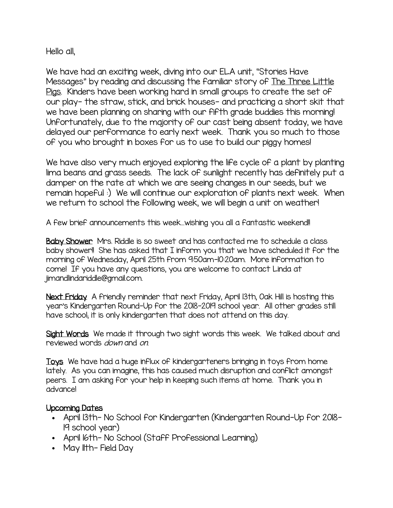Hello all,

We have had an exciting week, diving into our ELA unit, "Stories Have Messages" by reading and discussing the familiar story of The Three Little Pigs. Kinders have been working hard in small groups to create the set of our play- the straw, stick, and brick houses- and practicing a short skit that we have been planning on sharing with our fifth grade buddies this morning! Unfortunately, due to the majority of our cast being absent today, we have delayed our performance to early next week. Thank you so much to those of you who brought in boxes for us to use to build our piggy homes!

We have also very much enjoyed exploring the life cycle of a plant by planting lima beans and grass seeds. The lack of sunlight recently has definitely put a damper on the rate at which we are seeing changes in our seeds, but we remain hopeful :) We will continue our exploration of plants next week. When we return to school the following week, we will begin a unit on weather!

A few brief announcements this week…wishing you all a fantastic weekend!!

Baby Shower Mrs. Riddle is so sweet and has contacted me to schedule a class baby shower!! She has asked that I inform you that we have scheduled it for the morning of Wednesday, April 25th from 9:50am-10:20am. More information to come! If you have any questions, you are welcome to contact Linda at jimandlindariddle@gmail.com.

Next Friday A friendly reminder that next Friday, April 13th, Oak Hill is hosting this year's Kindergarten Round-Up for the 2018-2019 school year. All other grades still have school; it is only kindergarten that does not attend on this day.

Sight Words We made it through two sight words this week. We talked about and reviewed words *down* and on.

Toys We have had a huge influx of kindergarteners bringing in toys from home lately. As you can imagine, this has caused much disruption and conflict amongst peers. I am asking for your help in keeping such items at home. Thank you in advance!

## Upcoming Dates

- April 13th- No School for Kindergarten (Kindergarten Round-Up for 2018- 19 school year)
- April 16th- No School (Staff Professional Learning)
- May Ith-Field Day